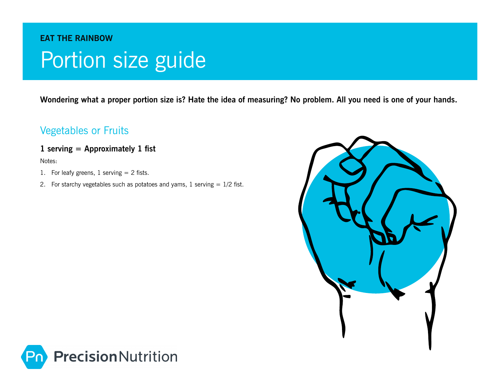## **eat the rainbow**  Portion size guide

**Wondering what a proper portion size is? Hate the idea of measuring? No problem. All you need is one of your hands.**

### Vegetables or Fruits

#### **1 serving = Approximately 1 fist**

- 1. For leafy greens, 1 serving  $= 2$  fists.
- 2. For starchy vegetables such as potatoes and yams,  $1$  serving  $= 1/2$  fist.



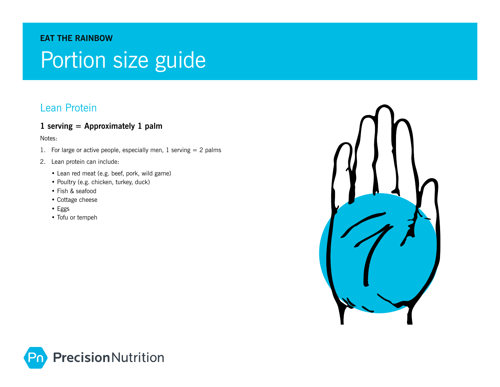#### **eat the rainbow**

# Portion size guide

### Lean Protein

#### **1 serving = Approximately 1 palm**

- 1. For large or active people, especially men,  $1$  serving  $= 2$  palms
- 2. Lean protein can include:
	- Lean red meat (e.g. beef, pork, wild game)
	- Poultry (e.g. chicken, turkey, duck)
	- Fish & seafood
	- Cottage cheese
	- Eggs
	- Tofu or tempeh



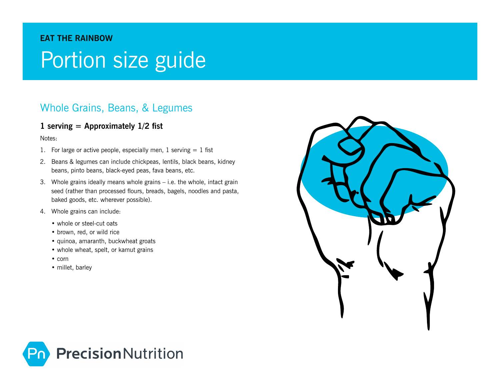#### **eat the rainbow**

## Portion size guide

### Whole Grains, Beans, & Legumes

#### **1 serving = Approximately 1/2 fist**

- 1. For large or active people, especially men,  $1$  serving  $= 1$  fist
- 2. Beans & legumes can include chickpeas, lentils, black beans, kidney beans, pinto beans, black-eyed peas, fava beans, etc.
- 3. Whole grains ideally means whole grains i.e. the whole, intact grain seed (rather than processed flours, breads, bagels, noodles and pasta, baked goods, etc. wherever possible).
- 4. Whole grains can include:
	- whole or steel-cut oats
	- brown, red, or wild rice
	- quinoa, amaranth, buckwheat groats
	- whole wheat, spelt, or kamut grains
	- corn
	- millet, barley